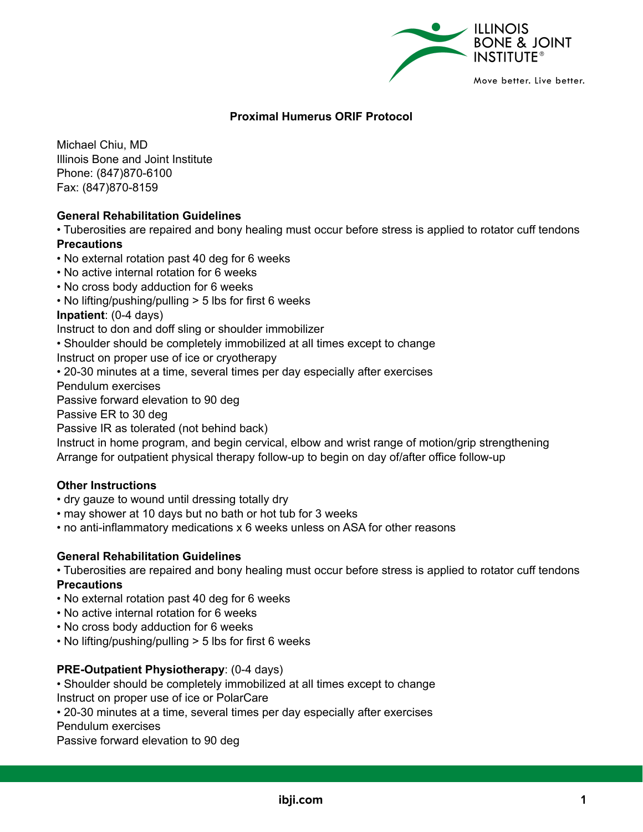

# **Proximal Humerus ORIF Protocol**

Michael Chiu, MD Illinois Bone and Joint Institute Phone: (847)870-6100 Fax: (847)870-8159

# **General Rehabilitation Guidelines**

• Tuberosities are repaired and bony healing must occur before stress is applied to rotator cuff tendons **Precautions**

• No external rotation past 40 deg for 6 weeks

- No active internal rotation for 6 weeks
- No cross body adduction for 6 weeks
- No lifting/pushing/pulling > 5 lbs for first 6 weeks

**Inpatient**: (0-4 days)

Instruct to don and doff sling or shoulder immobilizer

• Shoulder should be completely immobilized at all times except to change

Instruct on proper use of ice or cryotherapy

• 20-30 minutes at a time, several times per day especially after exercises

Pendulum exercises

Passive forward elevation to 90 deg

Passive ER to 30 deg

Passive IR as tolerated (not behind back)

Instruct in home program, and begin cervical, elbow and wrist range of motion/grip strengthening Arrange for outpatient physical therapy follow-up to begin on day of/after office follow-up

#### **Other Instructions**

- dry gauze to wound until dressing totally dry
- may shower at 10 days but no bath or hot tub for 3 weeks
- no anti-inflammatory medications x 6 weeks unless on ASA for other reasons

#### **General Rehabilitation Guidelines**

• Tuberosities are repaired and bony healing must occur before stress is applied to rotator cuff tendons **Precautions**

- No external rotation past 40 deg for 6 weeks
- No active internal rotation for 6 weeks
- No cross body adduction for 6 weeks
- No lifting/pushing/pulling > 5 lbs for first 6 weeks

## **PRE-Outpatient Physiotherapy**: (0-4 days)

• Shoulder should be completely immobilized at all times except to change Instruct on proper use of ice or PolarCare

• 20-30 minutes at a time, several times per day especially after exercises

Pendulum exercises

Passive forward elevation to 90 deg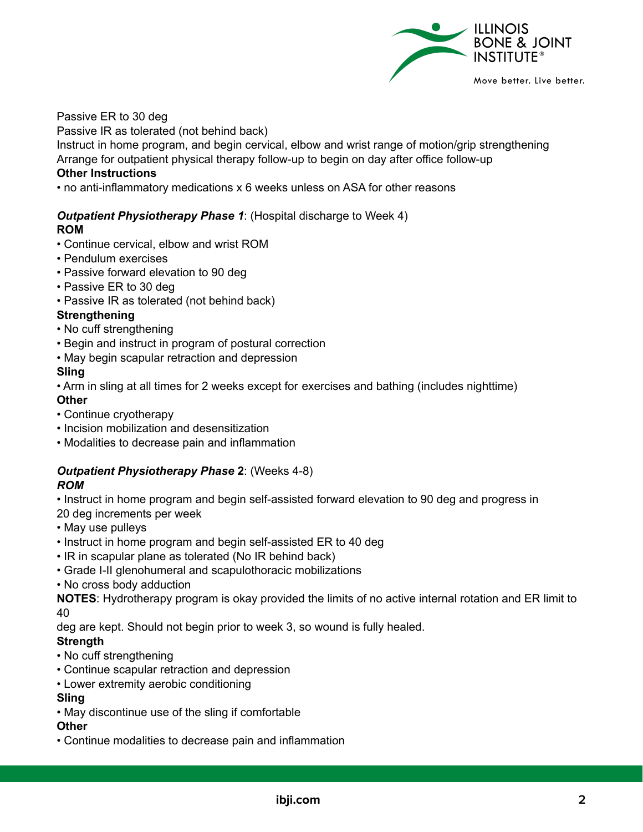

Passive ER to 30 deg

Passive IR as tolerated (not behind back)

Instruct in home program, and begin cervical, elbow and wrist range of motion/grip strengthening Arrange for outpatient physical therapy follow-up to begin on day after office follow-up

# **Other Instructions**

• no anti-inflammatory medications x 6 weeks unless on ASA for other reasons

# *Outpatient Physiotherapy Phase 1*: (Hospital discharge to Week 4)

# **ROM**

- Continue cervical, elbow and wrist ROM
- Pendulum exercises
- Passive forward elevation to 90 deg
- Passive ER to 30 deg
- Passive IR as tolerated (not behind back)

# **Strengthening**

- No cuff strengthening
- Begin and instruct in program of postural correction
- May begin scapular retraction and depression

# **Sling**

• Arm in sling at all times for 2 weeks except for exercises and bathing (includes nighttime) **Other**

- Continue cryotherapy
- Incision mobilization and desensitization
- Modalities to decrease pain and inflammation

#### *Outpatient Physiotherapy Phase* **2**: (Weeks 4-8) *ROM*

• Instruct in home program and begin self-assisted forward elevation to 90 deg and progress in 20 deg increments per week

- May use pulleys
- Instruct in home program and begin self-assisted ER to 40 deg
- IR in scapular plane as tolerated (No IR behind back)
- Grade I-II glenohumeral and scapulothoracic mobilizations
- No cross body adduction

**NOTES**: Hydrotherapy program is okay provided the limits of no active internal rotation and ER limit to 40

deg are kept. Should not begin prior to week 3, so wound is fully healed.

## **Strength**

- No cuff strengthening
- Continue scapular retraction and depression
- Lower extremity aerobic conditioning

# **Sling**

• May discontinue use of the sling if comfortable

## **Other**

• Continue modalities to decrease pain and inflammation